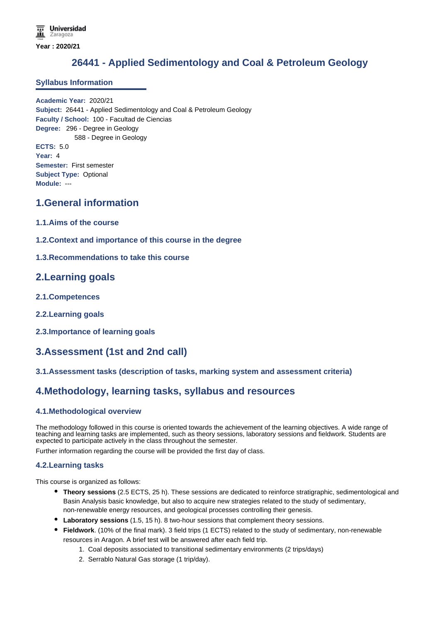# **26441 - Applied Sedimentology and Coal & Petroleum Geology**

### **Syllabus Information**

**Academic Year:** 2020/21 **Subject:** 26441 - Applied Sedimentology and Coal & Petroleum Geology **Faculty / School:** 100 - Facultad de Ciencias **Degree:** 296 - Degree in Geology 588 - Degree in Geology **ECTS:** 5.0 **Year:** 4 **Semester:** First semester **Subject Type:** Optional **Module:** ---

# **1.General information**

- **1.1.Aims of the course**
- **1.2.Context and importance of this course in the degree**

# **1.3.Recommendations to take this course**

# **2.Learning goals**

- **2.1.Competences**
- **2.2.Learning goals**
- **2.3.Importance of learning goals**

# **3.Assessment (1st and 2nd call)**

# **3.1.Assessment tasks (description of tasks, marking system and assessment criteria)**

# **4.Methodology, learning tasks, syllabus and resources**

### **4.1.Methodological overview**

The methodology followed in this course is oriented towards the achievement of the learning objectives. A wide range of teaching and learning tasks are implemented, such as theory sessions, laboratory sessions and fieldwork. Students are expected to participate actively in the class throughout the semester.

Further information regarding the course will be provided the first day of class.

#### **4.2.Learning tasks**

This course is organized as follows:

- **Theory sessions** (2.5 ECTS, 25 h). These sessions are dedicated to reinforce stratigraphic, sedimentological and Basin Analysis basic knowledge, but also to acquire new strategies related to the study of sedimentary, non-renewable energy resources, and geological processes controlling their genesis.
- **Laboratory sessions** (1.5, 15 h). 8 two-hour sessions that complement theory sessions.
- **Fieldwork**. (10% of the final mark). 3 field trips (1 ECTS) related to the study of sedimentary, non-renewable resources in Aragon. A brief test will be answered after each field trip.
	- 1. Coal deposits associated to transitional sedimentary environments (2 trips/days)
	- 2. Serrablo Natural Gas storage (1 trip/day).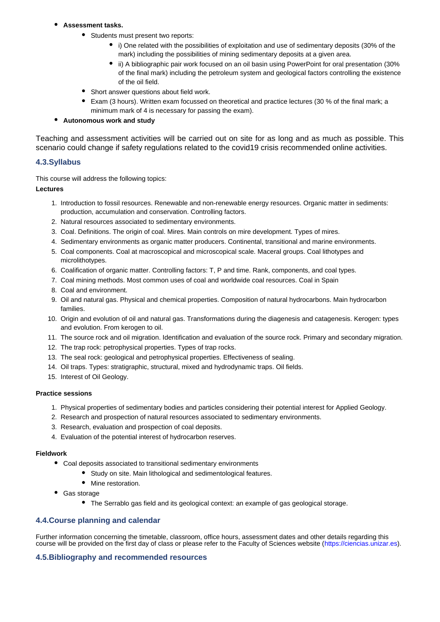- **Assessment tasks.**
	- Students must present two reports:
		- i) One related with the possibilities of exploitation and use of sedimentary deposits (30% of the mark) including the possibilities of mining sedimentary deposits at a given area.
		- ii) A bibliographic pair work focused on an oil basin using PowerPoint for oral presentation (30% of the final mark) including the petroleum system and geological factors controlling the existence of the oil field.
	- Short answer questions about field work.
	- Exam (3 hours). Written exam focussed on theoretical and practice lectures (30 % of the final mark; a minimum mark of 4 is necessary for passing the exam).

#### $\bullet$ **Autonomous work and study**

Teaching and assessment activities will be carried out on site for as long and as much as possible. This scenario could change if safety regulations related to the covid19 crisis recommended online activities.

# **4.3.Syllabus**

This course will address the following topics:

### **Lectures**

- 1. Introduction to fossil resources. Renewable and non-renewable energy resources. Organic matter in sediments: production, accumulation and conservation. Controlling factors.
- 2. Natural resources associated to sedimentary environments.
- 3. Coal. Definitions. The origin of coal. Mires. Main controls on mire development. Types of mires.
- 4. Sedimentary environments as organic matter producers. Continental, transitional and marine environments.
- 5. Coal components. Coal at macroscopical and microscopical scale. Maceral groups. Coal lithotypes and microlithotypes.
- 6. Coalification of organic matter. Controlling factors: T, P and time. Rank, components, and coal types.
- 7. Coal mining methods. Most common uses of coal and worldwide coal resources. Coal in Spain
- 8. Coal and environment.
- 9. Oil and natural gas. Physical and chemical properties. Composition of natural hydrocarbons. Main hydrocarbon families.
- 10. Origin and evolution of oil and natural gas. Transformations during the diagenesis and catagenesis. Kerogen: types and evolution. From kerogen to oil.
- 11. The source rock and oil migration. Identification and evaluation of the source rock. Primary and secondary migration.
- 12. The trap rock: petrophysical properties. Types of trap rocks.
- 13. The seal rock: geological and petrophysical properties. Effectiveness of sealing.
- 14. Oil traps. Types: stratigraphic, structural, mixed and hydrodynamic traps. Oil fields.
- 15. Interest of Oil Geology.

#### **Practice sessions**

- 1. Physical properties of sedimentary bodies and particles considering their potential interest for Applied Geology.
- 2. Research and prospection of natural resources associated to sedimentary environments.
- 3. Research, evaluation and prospection of coal deposits.
- 4. Evaluation of the potential interest of hydrocarbon reserves.

#### **Fieldwork**

- Coal deposits associated to transitional sedimentary environments
	- Study on site. Main lithological and sedimentological features.
	- Mine restoration.
- Gas storage
	- The Serrablo gas field and its geological context: an example of gas geological storage.

### **4.4.Course planning and calendar**

Further information concerning the timetable, classroom, office hours, assessment dates and other details regarding this course will be provided on the first day of class or please refer to the Faculty of Sciences website (https://ciencias.unizar.es).

### **4.5.Bibliography and recommended resources**